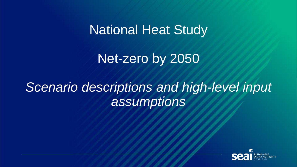# National Heat Study

# Net-zero by 2050

# *Scenario descriptions and high-level input assumptions*

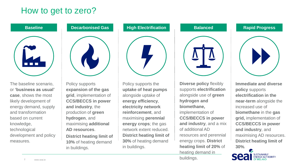## How to get to zero?



The baseline scenario, or **'business as usual' case**, shows the most likely development of energy demand, supply and transformation based on current knowledge, technological development and policy measures.



Policy supports **expansion of the gas grid**, implementation of **CCS/BECCS in power and industry**, the production of **green hydrogen**, and maximising **additional AD resources**.

**District heating limit of 10%** of heating demand in buildings.



Policy supports the **uptake of heat pumps**  alongside uptake of **energy efficiency**, **electricity network reinforcement**, and maximising **perennial energy crops**; the gas network extent reduced. **District heating limit of 30%** of heating demand in buildings.

**Diverse policy** flexibly supports **electrification** alongside use of **green hydrogen and biomethane,** implementation of **CCS/BECCS in power and industry**, and a mix of additional AD resources and perennial energy crops. **District heating limit of 20%** of heating demand in buildings.



**Immediate and diverse policy** supports **electrification in the near-term** alongside the increased use of **biomethane** in the **gas grid,** implementation of **CCS/BECCS in power and industry**, and maximising AD resources. **District heating limit of 30%**.

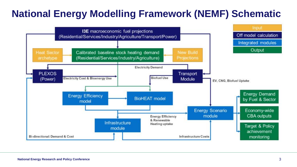## **National Energy Modelling Framework (NEMF) Schematic**

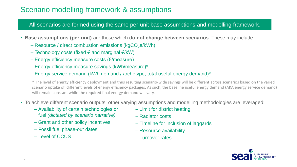#### Scenario modelling framework & assumptions

#### All scenarios are formed using the same per-unit base assumptions and modelling framework.

- **Base assumptions (per-unit)** are those which **do not change between scenarios**. These may include:
	- Resource / direct combustion emissions ( $kgCO<sub>2</sub>e/kWh$ )
	- Technology costs (fixed € and marginal  $€/kW$ )
	- Energy efficiency measure costs (€/measure)
	- Energy efficiency measure savings (kWh/measure)\*
	- Energy service demand (kWh demand / archetype, total useful energy demand)\*

\* The level of energy efficiency deployment and thus resulting scenario-wide savings will be different across scenarios based on the varied scenario uptake of different levels of energy efficiency packages. As such, the baseline useful energy demand (AKA energy service demand) will remain constant while the required final energy demand will vary.

- To achieve different scenario outputs, other varying assumptions and modelling methodologies are leveraged:
	- Availability of certain technologies or fuel *(dictated by scenario narrative)*
	- Grant and other policy incentives
	- Fossil fuel phase-out dates
	- Level of CCUS
- Limit for district heating
- Radiator costs
- Timeline for inclusion of laggards
- Resource availability
- Turnover rates

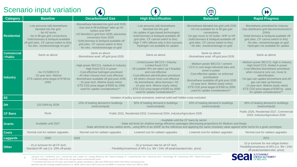#### Scenario input variation

|                               | <b>OCCHAIR IIPUL VAHAIRIU</b>                                                                                                                                                                                                                            |                                                                                                                                                                                                                                                                                                                             |                                                                                                                                                                                                                                                                                                                                                                                          | $\Psi$                                                                                                                                                                                                                                                                                                                   | $\blacktriangleright$                                                                                                                                                                                                                                                                                                                                                      |  |
|-------------------------------|----------------------------------------------------------------------------------------------------------------------------------------------------------------------------------------------------------------------------------------------------------|-----------------------------------------------------------------------------------------------------------------------------------------------------------------------------------------------------------------------------------------------------------------------------------------------------------------------------|------------------------------------------------------------------------------------------------------------------------------------------------------------------------------------------------------------------------------------------------------------------------------------------------------------------------------------------------------------------------------------------|--------------------------------------------------------------------------------------------------------------------------------------------------------------------------------------------------------------------------------------------------------------------------------------------------------------------------|----------------------------------------------------------------------------------------------------------------------------------------------------------------------------------------------------------------------------------------------------------------------------------------------------------------------------------------------------------------------------|--|
| <b>Category</b>               | <b>Baseline</b>                                                                                                                                                                                                                                          | <b>Decarbonised Gas</b>                                                                                                                                                                                                                                                                                                     | <b>High Electrification</b>                                                                                                                                                                                                                                                                                                                                                              | <b>Balanced</b>                                                                                                                                                                                                                                                                                                          | <b>Rapid Progress</b>                                                                                                                                                                                                                                                                                                                                                      |  |
| <b>Residential</b>            | - Low amounts (all) biomethane<br>blended into the grid<br>- No H <sub>2</sub> techs.<br>- No in-fill gas grid connections<br>- Solid biomass & bioliquid available<br>off grid (elec. CF cannot switch to this)<br>- No elec. resistive/storage on-grid | - Biomethane blended into grid until 2035<br>- Gas and in-fill buildings* take up H2<br>boilers and HHP<br>- H2 blended in grid from 2030, piecewise<br>conversion from 2035<br>- Solid biomass & bioliquid available off<br>grid (elec. CF cannot switch to this)<br>- No elec. resistive/storage on-grid                  | - Low amounts (all) biomethane<br>blended into the grid<br>- No uptake of gas-based technologies<br>- Solid biomass & bioliquid available off<br>grid (elec. CF cannot switch to this)<br>High T HPs offered only in this scenario<br>- Hydrogen not available for uptake                                                                                                                | - Biomethane blended into grid until 2035<br>- H2 not available for in-fill gas grid<br>connections<br>- On-gas move to H2 boiler, HHP or HP<br>- Solid biomass & bioliquid available off<br>grid (elec. CF cannot switch to this)<br>- No elec. resistive/storage on-grid                                               | - Biomethane prioritised for industry<br>- Gas distribution grid decommissioned in<br>2040s<br>- Solid biomass & bioliquid available off<br>grid (elec. CF cannot switch to this)<br>- No elec. resistive/storage on-grid<br>- Hydrogen not available for uptake                                                                                                           |  |
| <b>Commercial</b><br>/ Public | Same as above                                                                                                                                                                                                                                            | Same as above<br>- Biomethane avail. off-grid post-2035                                                                                                                                                                                                                                                                     | Same as above                                                                                                                                                                                                                                                                                                                                                                            | Same as above<br>- Biomethane avail. off-grid post-2035                                                                                                                                                                                                                                                                  | Same as above                                                                                                                                                                                                                                                                                                                                                              |  |
| <b>Industry</b>               | - No CCS/BECCS<br>- 25 year tech. lifetime<br>- ETS carbon price target of €150 by<br>2050                                                                                                                                                               | - High power BECCS, medium in Industry<br>- High fossil CCS in power<br>- Cost-effective hydrogen prioritised<br>- All other choose most cost effective<br>Biomethane available off grid post-2035<br>- 15-year tech. lifetime (early retire)<br>- ETS CO2 price target of €350 by 2050<br>used for uptake considerations** | - Limited power BECCS / industry<br>- Limited fossil CCS<br>- All suitable HPs are taken up if feasible<br>and cost effective<br>- Cost-effective electrification prioritised<br>- All others choose most cost effective<br>- No biomethane; allow biomass / H2<br>- 15-year tech. lifetime (early retire)<br>- ETS CO2 price target of €350 by 2050<br>used for uptake considerations** | - Medium power BECCS / cement<br>- CCS in core large industrial sites and<br>some in power<br>- Cost effective uptake; no enforced<br>prioritisation<br>Biomethane available off grid post-2035<br>- 15-year tech. lifetime (early retire)<br>- ETS CO2 price target of €350 by 2050<br>used for uptake considerations** | - Medium power BECCS, high in industry<br>- High fossil CCS, limited in power<br>- Cost-effective biomethane prioritised;<br>when resource runs out, move to<br>electrification.<br>- On-gas can uptake biomethane and off-<br>gas can take up biomass<br>- 15-year tech. lifetime (early retire)<br>- ETS CO2 price target of €350 by used<br>for uptake considerations** |  |
| EE.                           |                                                                                                                                                                                                                                                          |                                                                                                                                                                                                                                                                                                                             | Variation of policy across scenarios; external solid wall hidden costs excluded.                                                                                                                                                                                                                                                                                                         |                                                                                                                                                                                                                                                                                                                          |                                                                                                                                                                                                                                                                                                                                                                            |  |
| <b>DH</b>                     | 120 GWh by 2028                                                                                                                                                                                                                                          | 10% of heating demand in buildings<br>(resi/com/pub)                                                                                                                                                                                                                                                                        | 30% of heating demand in buildings<br>(resi/com/pub)                                                                                                                                                                                                                                                                                                                                     | 20% of heating demand in buildings<br>(resi/com/pub)                                                                                                                                                                                                                                                                     | 30% of heating demand in buildings<br>(resi/com/pub)                                                                                                                                                                                                                                                                                                                       |  |
| <b>CF Bans</b>                | None                                                                                                                                                                                                                                                     | Public 2031, Residential 2032, Commercial 2034, Industry/Agriculture 2035                                                                                                                                                                                                                                                   |                                                                                                                                                                                                                                                                                                                                                                                          | Public 2026, Residential 2027, Commercial<br>2029, Industry/Agriculture 2030                                                                                                                                                                                                                                             |                                                                                                                                                                                                                                                                                                                                                                            |  |
| <b>Grants</b>                 | Available until 2027                                                                                                                                                                                                                                     | - Available until the CF bans by sector<br>- State aid limits for shallow energy efficiency packages (decreasing proportions for Medium and Deep)<br>- State aid limits for low carbon techs., using 80% of an ASHP as the reference and applying the same monetary value against other techs for a given archetype         |                                                                                                                                                                                                                                                                                                                                                                                          |                                                                                                                                                                                                                                                                                                                          |                                                                                                                                                                                                                                                                                                                                                                            |  |
| <b>Costs</b>                  | Normal cost for radiator upgrades                                                                                                                                                                                                                        | Normal cost for radiator upgrades                                                                                                                                                                                                                                                                                           | Lowered cost for radiator upgrades                                                                                                                                                                                                                                                                                                                                                       | Lowered cost for radiator upgrades                                                                                                                                                                                                                                                                                       | Normal cost for radiator upgrades                                                                                                                                                                                                                                                                                                                                          |  |
| <b>Laggards</b>               | 2030                                                                                                                                                                                                                                                     | 2025                                                                                                                                                                                                                                                                                                                        |                                                                                                                                                                                                                                                                                                                                                                                          |                                                                                                                                                                                                                                                                                                                          | 2021                                                                                                                                                                                                                                                                                                                                                                       |  |
| <b>Other</b>                  | - 15 yr turnover for all CF tech.<br>Standard HP use (i.e. 29% off-peak)                                                                                                                                                                                 | - Flexibility/smartness of HPs (i.e. 9hr / 24hr off-peak/standard elec. price)                                                                                                                                                                                                                                              | 10 yr turnover for resi oil/gas boilers<br>Flexibility/smartness of HPs (i.e. 9hr / 24hr<br>off-peak/standard elec. price)                                                                                                                                                                                                                                                               |                                                                                                                                                                                                                                                                                                                          |                                                                                                                                                                                                                                                                                                                                                                            |  |
|                               | *In-fill oil buildings account for 35% of the non-gas-based counterfactual stock.                                                                                                                                                                        | Glossary: resi = residential, com = commercial, pub = public, EE = energy efficiency, DH = district heating, CF = counterfactual, elec = electrical, tech = technology, HP = heat pump, HHP = hybrid heat pump.                                                                                                             |                                                                                                                                                                                                                                                                                                                                                                                          |                                                                                                                                                                                                                                                                                                                          | <b>all SUSTAINABLE</b><br><b>DERECAND</b>                                                                                                                                                                                                                                                                                                                                  |  |

5 Glossary: resi = residential, com = commercial, pub = public, EE = energy efficiency, DH = district heating, CF = counterfactual, elec = electrical, tech = technology, HP = heat pump, HHP = hybrid heat pump. \*In-fill oil buildings account for 35% of the non-gas-based counterfactual stock. \*\* Increased CO2 price for ETS sites used solely for uptake calculations; CBA uses DPER prices rather than these increased prices.

Baseline uses the existing modelled policies (i.e. WEM, which end in 2027) and runs the NEMF in consumer mode from 2020 to 2050.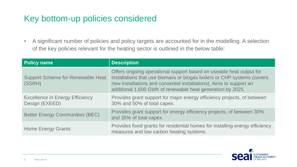## Key bottom-up policies considered

• A significant number of policies and policy targets are accounted for in the modelling. A selection of the key policies relevant for the heating sector is outlined in the below table:

| <b>Policy name</b>                                       | <b>Description</b>                                                                                                                                                                                                                                                                 |
|----------------------------------------------------------|------------------------------------------------------------------------------------------------------------------------------------------------------------------------------------------------------------------------------------------------------------------------------------|
| <b>Support Scheme for Renewable Heat</b><br>(SSRH)       | Offers ongoing operational support based on useable heat output for<br>installations that use biomass or biogas boilers or CHP systems (covers<br>new installations and converted installations). Aims to support an<br>additional 1,600 GWh of renewable heat generation by 2025. |
| <b>Excellence in Energy Efficiency</b><br>Design (EXEED) | Provides grant support for major energy efficiency projects, of between<br>30% and 50% of total capex.                                                                                                                                                                             |
| <b>Better Energy Communities (BEC)</b>                   | Provides grant support for energy efficiency projects, of between 30%<br>and 35% of total capex.                                                                                                                                                                                   |
| <b>Home Energy Grants</b>                                | Provides fixed grants for residential homes for installing energy efficiency<br>measures and low carbon heating systems.                                                                                                                                                           |

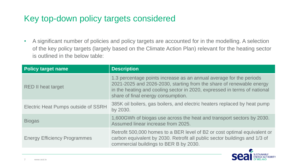## Key top-down policy targets considered

• A significant number of policies and policy targets are accounted for in the modelling. A selection of the key policy targets (largely based on the Climate Action Plan) relevant for the heating sector is outlined in the below table:

| <b>Policy target name</b>                  | <b>Description</b>                                                                                                                                                                                                                                             |
|--------------------------------------------|----------------------------------------------------------------------------------------------------------------------------------------------------------------------------------------------------------------------------------------------------------------|
| <b>RED II heat target</b>                  | 1.3 percentage points increase as an annual average for the periods<br>2021-2025 and 2026-2030, starting from the share of renewable energy<br>in the heating and cooling sector in 2020, expressed in terms of national<br>share of final energy consumption. |
| <b>Electric Heat Pumps outside of SSRH</b> | 385K oil boilers, gas boilers, and electric heaters replaced by heat pump<br>by 2030.                                                                                                                                                                          |
| <b>Biogas</b>                              | 1,600GWh of biogas use across the heat and transport sectors by 2030.<br>Assumed linear increase from 2025.                                                                                                                                                    |
| <b>Energy Efficiency Programmes</b>        | Retrofit 500,000 homes to a BER level of B2 or cost optimal equivalent or<br>carbon equivalent by 2030. Retrofit all public sector buildings and 1/3 of<br>commercial buildings to BER B by 2030.                                                              |

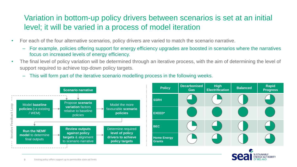### Variation in bottom-up policy drivers between scenarios is set at an initial level; it will be varied in a process of model iteration

- For each of the four alternative scenarios, policy drivers are varied to match the scenario narrative.
	- For example, policies offering support for energy efficiency upgrades are boosted in scenarios where the narratives focus on increased levels of energy efficiency.
- The final level of policy variation will be determined through an iterative process, with the aim of determining the level of support required to achieve top-down policy targets.
	- This will form part of the iterative scenario modelling process in the following weeks.



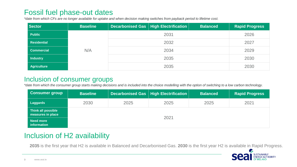#### Fossil fuel phase-out dates

*\*date from which CFs are no longer available for uptake and when decision making switches from payback period to lifetime cost.*

| Sector             | <b>Baseline</b> |      | Decarbonised Gas   High Electrification | <b>Balanced</b> | <b>Rapid Progress</b> |
|--------------------|-----------------|------|-----------------------------------------|-----------------|-----------------------|
| <b>Public</b>      | N/A             |      | 2026                                    |                 |                       |
| <b>Residential</b> |                 |      | 2027                                    |                 |                       |
| <b>Commercial</b>  |                 | 2034 |                                         |                 | 2029                  |
| <b>Industry</b>    |                 | 2035 |                                         |                 | 2030                  |
| <b>Agriculture</b> |                 |      | 2035                                    |                 | 2030                  |

#### Inclusion of consumer groups

*\*date from which the consumer group starts making decisions and is included into the choice modelling with the option of switching to a low carbon technology.*

| <b>Consumer group</b>                   | <b>Baseline</b> |      | Decarbonised Gas   High Electrification | <b>Balanced</b> | <b>Rapid Progress</b> |
|-----------------------------------------|-----------------|------|-----------------------------------------|-----------------|-----------------------|
| Laggards                                | 2030            | 2025 | 2025                                    | 2025            | 2021                  |
| Think all possible<br>measures in place |                 |      | 2021                                    |                 |                       |
| <b>Need more</b><br>information         |                 |      |                                         |                 |                       |

#### Inclusion of H2 availability

**2035** is the first year that H2 is available in Balanced and Decarbonised Gas. **2030** is the first year H2 is available in Rapid Progress.

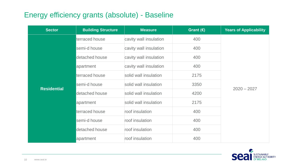#### Energy efficiency grants (absolute) - Baseline

| <b>Sector</b>      | <b>Building Structure</b> | <b>Measure</b>         | Grant $(E)$ | <b>Years of Applicability</b> |
|--------------------|---------------------------|------------------------|-------------|-------------------------------|
|                    | terraced house            | cavity wall insulation | 400         |                               |
|                    | semi-d house              | cavity wall insulation | 400         |                               |
|                    | detached house            | cavity wall insulation | 400         |                               |
|                    | apartment                 | cavity wall insulation | 400         |                               |
|                    | terraced house            | solid wall insulation  | 2175        |                               |
|                    | semi-d house              | solid wall insulation  | 3350        |                               |
| <b>Residential</b> | detached house            | solid wall insulation  | 4200        | $2020 - 2027$                 |
|                    | apartment                 | solid wall insulation  | 2175        |                               |
|                    | terraced house            | roof insulation        | 400         |                               |
|                    | semi-d house              | roof insulation        | 400         |                               |
|                    | detached house            | roof insulation        | 400         |                               |
|                    | apartment                 | roof insulation        | 400         |                               |

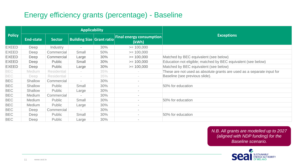#### Energy efficiency grants (percentage) - Baseline

|               | <b>Applicability</b> |                    |                                  |     |                                          |                                                                        |
|---------------|----------------------|--------------------|----------------------------------|-----|------------------------------------------|------------------------------------------------------------------------|
| <b>Policy</b> | <b>End-state</b>     | <b>Sector</b>      | <b>Building Size Grant ratio</b> |     | <b>Final energy consumption</b><br>(kWh) | <b>Exceptions</b>                                                      |
| <b>EXEED</b>  | Deep                 | Industry           |                                  | 30% | $= 100,000$                              |                                                                        |
| <b>EXEED</b>  | Deep                 | Commercial         | Small                            | 50% | $= 100,000$                              |                                                                        |
| <b>EXEED</b>  | Deep                 | Commercial         | Large                            | 30% | $= 100,000$                              | Matched by BEC equivalent (see below)                                  |
| <b>EXEED</b>  | Deep                 | Public             | Small                            | 30% | $= 100,000$                              | Education not eligible; matched by BEC equivalent (see below)          |
| <b>EXEED</b>  | Deep                 | Public             | Large                            | 30% | $= 100,000$                              | Matched by BEC equivalent (see below)                                  |
| <b>BEC</b>    | <b>Medium</b>        | <b>Residential</b> |                                  | 35% |                                          | These are not used as absolute grants are used as a separate input for |
| <b>BEC</b>    | Deep                 | <b>Residential</b> |                                  | 35% |                                          | Baseline (see previous slide).                                         |
| <b>BEC</b>    | Shallow              | Commercial         |                                  | 30% | $\sim$                                   |                                                                        |
| <b>BEC</b>    | Shallow              | <b>Public</b>      | Small                            | 30% | $\sim$                                   | 50% for education                                                      |
| <b>BEC</b>    | Shallow              | <b>Public</b>      | Large                            | 30% | $\sim$                                   |                                                                        |
| <b>BEC</b>    | Medium               | Commercial         |                                  | 30% | $\overline{\phantom{a}}$                 |                                                                        |
| <b>BEC</b>    | Medium               | Public             | Small                            | 30% | $\sim$                                   | 50% for education                                                      |
| <b>BEC</b>    | Medium               | <b>Public</b>      | Large                            | 30% | $\sim$                                   |                                                                        |
| <b>BEC</b>    | Deep                 | Commercial         |                                  | 30% | $\sim$                                   |                                                                        |
| <b>BEC</b>    | Deep                 | Public             | Small                            | 30% |                                          | 50% for education                                                      |
| <b>BEC</b>    | Deep                 | <b>Public</b>      | Large                            | 30% | $\,$                                     |                                                                        |

*N.B. All grants are modelled up to 2027 (aligned with NDP funding) for the Baseline scenario.*

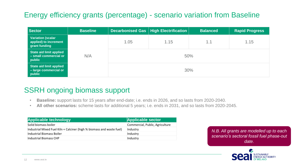#### Energy efficiency grants (percentage) - scenario variation from Baseline

| <b>Sector</b>                                                      | <b>Baseline</b> |      | Decarbonised Gas   High Electrification | <b>Balanced</b> | <b>Rapid Progress</b> |  |
|--------------------------------------------------------------------|-----------------|------|-----------------------------------------|-----------------|-----------------------|--|
| <b>Variation (scalar</b><br>applied) to increment<br>grant funding |                 | 1.05 | 1.15                                    | 1.1             | 1.15                  |  |
| <b>State aid limit applied</b><br>- small commercial or<br>public  | N/A             | 50%  |                                         |                 |                       |  |
| <b>State aid limit applied</b><br>- large commercial or<br>public  |                 | 30%  |                                         |                 |                       |  |

#### SSRH ongoing biomass support

- **Baseline:** support lasts for 15 years after end-date; i.e. ends in 2026, and so lasts from 2020-2040.
- **All other scenarios:** scheme lasts for additional 5 years; i.e. ends in 2031, and so lasts from 2020-2045.

| <b>Applicable technology</b>                                          | <b>Applicable sector</b>        |
|-----------------------------------------------------------------------|---------------------------------|
| Solid biomass boiler                                                  | Commercial, Public, Agriculture |
| Industrial Mixed Fuel Kiln + Calciner (high % biomass and waste fuel) | Industry                        |
| Industrial Biomass Boiler                                             | Industry                        |
| Industrial Biomass CHP                                                | Industry                        |

*N.B. All grants are modelled up to each scenario's sectoral fossil fuel phase-out date.*

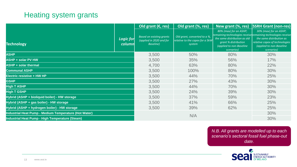#### Heating system grants

|                                                       |                     | Old grant ( $\epsilon$ , res)                                            | Old grant (%, res)                                                        | New grant (%, res)                                                                                                       | <b>SSRH Grant (non-res)</b>                                                                                                                                                                     |
|-------------------------------------------------------|---------------------|--------------------------------------------------------------------------|---------------------------------------------------------------------------|--------------------------------------------------------------------------------------------------------------------------|-------------------------------------------------------------------------------------------------------------------------------------------------------------------------------------------------|
| <b>Technology</b>                                     | Logic for<br>column | <b>Based on existing grants</b><br>(applied in 2020 and for<br>Baseline) | Old grant, converted to a %,<br>relative to the capex for a 5kW<br>system | 80% (max) for an ASHP;<br>the same distribution as old<br>grant % distribution<br>(applied to non-Baseline<br>scenarios) | 30% (max) for an ASHP;<br>remaining technologies receive remaining technologies receive<br>the same distribution as<br>relative capex of technologies<br>(applied to non-Baseline<br>scenarios) |
| <b>ASHP</b>                                           |                     | 3,500                                                                    | 50%                                                                       | 80%                                                                                                                      | 30%                                                                                                                                                                                             |
| <b>ASHP + solar PV HW</b>                             |                     | 3,500                                                                    | 35%                                                                       | 56%                                                                                                                      | 17%                                                                                                                                                                                             |
| <b>ASHP + solar thermal</b>                           |                     | 4,700                                                                    | 63%                                                                       | 80%                                                                                                                      | 22%                                                                                                                                                                                             |
| <b>Communal ASHP</b>                                  |                     | 3,500                                                                    | 100%                                                                      | 80%                                                                                                                      | 30%                                                                                                                                                                                             |
| <b>Electric resistive + HW HP</b>                     |                     | 3,500                                                                    | 44%                                                                       | 70%                                                                                                                      | 25%                                                                                                                                                                                             |
| <b>GSHP</b>                                           |                     | 3,500                                                                    | 27%                                                                       | 43%                                                                                                                      | 30%                                                                                                                                                                                             |
| <b>High T ASHP</b>                                    |                     | 3,500                                                                    | 44%                                                                       | 70%                                                                                                                      | 30%                                                                                                                                                                                             |
| <b>High T GSHP</b>                                    |                     | 3,500                                                                    | 24%                                                                       | 39%                                                                                                                      | 30%                                                                                                                                                                                             |
| Hybrid (ASHP + bioliquid boiler) - HW storage         |                     | 3,500                                                                    | 37%                                                                       | 59%                                                                                                                      | 23%                                                                                                                                                                                             |
| Hybrid (ASHP + gas boiler) - HW storage               |                     | 3,500                                                                    | 41%                                                                       | 66%                                                                                                                      | 25%                                                                                                                                                                                             |
| Hybrid (ASHP + hydrogen boiler) - HW storage          |                     | 3,500                                                                    | 39%                                                                       | 62%                                                                                                                      | 25%                                                                                                                                                                                             |
| Industrial Heat Pump - Medium Temperature (Hot Water) |                     |                                                                          |                                                                           |                                                                                                                          | 30%                                                                                                                                                                                             |
| Industrial Heat Pump - High Temperature (Steam)       |                     |                                                                          | N/A                                                                       |                                                                                                                          | 30%                                                                                                                                                                                             |

*N.B. All grants are modelled up to each scenario's sectoral fossil fuel phase-out date.*

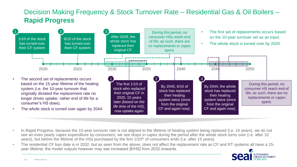#### Decision Making Frequency & Stock Turnover Rate – Residential Gas & Oil Boilers – **Rapid Progress**



- In Rapid Progress, because the 10-year turnover rate is not aligned to the lifetime of heating system being replaced (i.e. 15 years), we do not see an even yearly capex expenditure by consumers; we see drops in capex during the period after the whole stock turns over (i.e. after 10 years), but before the lifetime of the HSs purchased by the first 1/10<sup>th</sup> of consumers ends (i.e. after 15 years).
- The residential CF ban date is in 2032, but as seen from the above, does not affect the replacement rate as CF and RT systems all have a 15 year lifetime; the model outputs however may see increased [€/HS] from 2032 onwards.

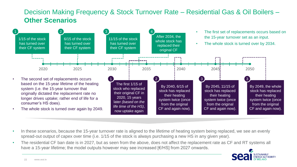#### Decision Making Frequency & Stock Turnover Rate – Residential Gas & Oil Boilers – **Other Scenarios**



- In these scenarios, because the 15-year turnover rate is aligned to the lifetime of heating system being replaced, we see an evenly spread-out output of capex over time (i.e. 1/15 of the stock is always purchasing a new HS in any given year).
- The residential CF ban date is in 2027, but as seen from the above, does not affect the replacement rate as CF and RT systems all have a 15-year lifetime; the model outputs however may see increased [€/HS] from 2027 onwards.

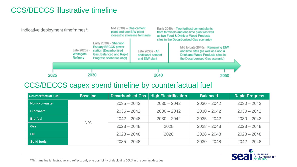#### CCS/BECCS illustrative timeline



#### CCS/BECCS capex spend timeline by counterfactual fuel

| <b>Counterfactual Fuel</b> | <b>Baseline</b> | <b>Decarbonised Gas</b> | High Electrification | <b>Balanced</b> | <b>Rapid Progress</b> |
|----------------------------|-----------------|-------------------------|----------------------|-----------------|-----------------------|
| <b>Non-bio waste</b>       |                 | $2035 - 2042$           | $2030 - 2042$        | $2030 - 2042$   | $2030 - 2042$         |
| <b>Bio waste</b>           |                 | $2035 - 2042$           | $2030 - 2042$        | $2030 - 2042$   | $2030 - 2042$         |
| <b>Bio fuel</b>            |                 | $2042 - 2048$           | $2030 - 2042$        | $2035 - 2042$   | $2030 - 2042$         |
| <b>Gas</b>                 | N/A             | $2028 - 2048$           | 2028                 | $2028 - 2048$   | $2028 - 2048$         |
| Oil                        |                 | $2028 - 2048$           | 2028                 | $2028 - 2048$   | $2028 - 2048$         |
| <b>Solid fuels</b>         |                 | $2035 - 2048$           |                      | $2030 - 2048$   | $2042 - 2048$         |



\*This timeline is illustrative and reflects only one possibility of deploying CCUS in the coming decades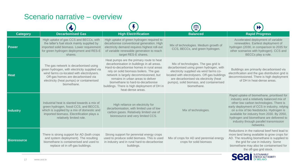#### Scenario narrative – overview

| <b>Category</b>    | <b>Decarbonised Gas</b>                                                                                                                                                                                                               | <b>High Electrification</b>                                                                                                                                                                                                                                                                                                                                           | <b>Balanced</b>                                                                                                                                                                                                                                                                  | <b>Rapid Progress</b>                                                                                                                                                                                                                                                                                                                                                           |
|--------------------|---------------------------------------------------------------------------------------------------------------------------------------------------------------------------------------------------------------------------------------|-----------------------------------------------------------------------------------------------------------------------------------------------------------------------------------------------------------------------------------------------------------------------------------------------------------------------------------------------------------------------|----------------------------------------------------------------------------------------------------------------------------------------------------------------------------------------------------------------------------------------------------------------------------------|---------------------------------------------------------------------------------------------------------------------------------------------------------------------------------------------------------------------------------------------------------------------------------------------------------------------------------------------------------------------------------|
| <b>Power</b>       | High uptake of gas CCS and BECCs, with<br>the latter's fuel stock mainly supplied by<br>imported solid biomass. Lower requirement<br>for green hydrogen deployment and RES-E<br>shares.                                               | High uptake of green hydrogen required to<br>decarbonise conventional generation. High<br>electricity demand requires highest roll-out<br>of variable renewable generation to reach<br>target RES-E shares.                                                                                                                                                           | Mix of technologies. Medium growth of<br>CCS, BECCs, and green hydrogen.                                                                                                                                                                                                         | Accelerated deployment of variable<br>renewables. Earliest deployment of<br>hydrogen (2030, in comparison to 2035 for<br>other scenarios with hydrogen). CCS and<br>BECCs play a role.                                                                                                                                                                                          |
| <b>Heat</b>        | The gas network is decarbonised using<br>green hydrogen, with electricity supplied via<br>wind farms co-located with electrolysers.<br>Off-gas homes are decarbonised via<br>electricity (heat pumps) or containerised<br>biomethane. | Heat pumps are the primary route to heat<br>decarbonisation in buildings in all areas.<br>Hard-to-decarbonise homes in rural areas<br>rely on solid biomass boilers. The gas<br>network is largely decommissioned, but<br>remains in urban areas to deliver<br>biomethane to hard-to-decarbonise<br>buildings. There is high deployment of DH in<br>heat-dense areas. | Mix of technologies. The gas grid is<br>decarbonised using green hydrogen, with<br>electricity supplied via wind farms co-<br>located with electrolysers. Off-gas buildings<br>are decarbonised via electricity (heat<br>pumps), solid biomass, and containerised<br>biomethane. | Buildings are primarily decarbonised via<br>electrification and the gas distribution grid is<br>decommissioned. There is high deployment<br>of DH in heat-dense areas.                                                                                                                                                                                                          |
| <b>Industry</b>    | Industrial heat is slanted towards a mix of<br>green hydrogen, fossil CCS, and BECCS,<br>which is supplied by a mix of domestic and<br>imported biomass. Electrification plays a<br>relatively limited role.                          | High reliance on electricity for<br>decarbonisation, with limited use of low<br>carbon gases. Relatively limited use of<br>bioresource and very limited CCS.                                                                                                                                                                                                          | Mix of technologies.                                                                                                                                                                                                                                                             | Rapid uptake of biomethane, prioritised for<br>industry and a relatively balanced mix of<br>other low carbon technologies. There is<br>early deployment of CCS in industry, relying<br>on a mix of bio feedstocks. Hydrogen is<br>available for industry from 2030. By 2050,<br>hydrogen and biomethane are delivered to<br>industry through parallel transmission<br>networks. |
| <b>Bioresource</b> | There is strong support for AD (both crops<br>and system deployment). The resulting<br>biomethane is containerised and used to<br>replace oil in off-gas buildings.                                                                   | Strong support for perennial energy crops<br>used to produce solid biomass. This is used<br>in industry and in rural hard-to-decarbonise<br>buildings.                                                                                                                                                                                                                | Mix of crops for AD and perennial energy<br>crops for solid biomass                                                                                                                                                                                                              | Reductions in the national beef herd lead to<br>more land being available to grow crops for<br>AD. The resulting biomethane is supplied to<br>the grid for use in industry. Some<br>biomethane may also be containerised for<br>the off-gas grid stock.                                                                                                                         |

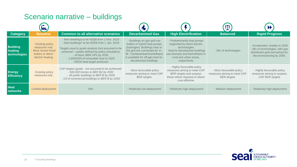#### Scenario narrative – buildings

|                                            | <u>ka.</u>                                                                                          |                                                                                                                                                                                                                                                                                                             | <b>IV</b>                                                                                                                                                                                                                       |                                                                                                                                                                                        | $\mathbb{Z}$                                                                  |                                                                                                                                  |
|--------------------------------------------|-----------------------------------------------------------------------------------------------------|-------------------------------------------------------------------------------------------------------------------------------------------------------------------------------------------------------------------------------------------------------------------------------------------------------------|---------------------------------------------------------------------------------------------------------------------------------------------------------------------------------------------------------------------------------|----------------------------------------------------------------------------------------------------------------------------------------------------------------------------------------|-------------------------------------------------------------------------------|----------------------------------------------------------------------------------------------------------------------------------|
| <b>Category</b>                            | <b>Baseline</b>                                                                                     | <b>Common to all alternative scenarios</b>                                                                                                                                                                                                                                                                  | <b>Decarbonised Gas</b>                                                                                                                                                                                                         | <b>High Electrification</b>                                                                                                                                                            | <b>Balanced</b>                                                               | <b>Rapid Progress</b>                                                                                                            |
| <b>Building</b><br>heating<br>technologies | - Existing policy<br>measures only<br>- Most remain fossil<br>boilers or direct<br>electric heating | - New dwellings to be NZEB from 1 Nov. 2019<br>- New buildings* to be NZEB from 1 Jan. 2019<br>Targets used to guide analysis (not assumed to be<br>achieved - uptake defined by policy simulation)<br>- At least 385K HPs by 2030<br>- 1,600GWh of renewable heat to 2025<br>- REDII heat target achieved. | - Buildings on gas grid use<br>boilers or hybrid heat pumps<br>(hydrogen). Buildings near to<br>the grid are connected as 'in-<br>fill.' Containerised biomethane<br>is available for off-gas hard-to-<br>decarbonise buildings | - Predominantly heat pumps<br>supported by direct electric<br>technologies<br>Hard-to-decarbonise buildings<br>use biomass and biomethane in<br>rural and urban areas,<br>respectively | - Mix of technologies                                                         | - Accelerated, notably to 2030<br>- Mix of technologies, with gas<br>distribution grid earmarked for<br>decommissioning by 2050. |
| <b>Energy</b><br><b>Efficiency</b>         | - Existing policy<br>measures only                                                                  | CAP targets (guide - not assumed to be achieved):<br>- 500,000 homes to BER B2 by 2030<br>- All public buildings to BER B by 2030<br>- 1/3 of commercial buildings to BER B by 2030                                                                                                                         | - More favourable policy<br>measures aiming to meet CAP<br><b>BER</b> targets                                                                                                                                                   | - Highly favourable policy<br>measures aiming to meet CAP<br>BER targets and surpass<br>these where required or where<br>cost-effective                                                | - More favourable policy<br>measures aiming to meet CAP<br><b>BER</b> targets | - Highly favourable policy<br>measures aiming to surpass<br>CAP BER targets                                                      |
| <b>Heat</b><br><b>networks</b>             | -Limited deployment                                                                                 | N/A                                                                                                                                                                                                                                                                                                         | - Relatively low deployment                                                                                                                                                                                                     | - Relatively high deployment                                                                                                                                                           | - Medium deployment                                                           | - Relatively high deployment                                                                                                     |

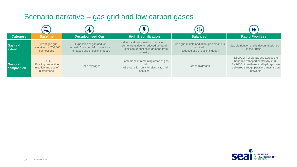#### Scenario narrative – gas grid and low carbon gases

|                                       | <u>ka.</u>                                                                            |                                                                                                      |                                                                                                                                   | $\Phi$                                                                                   |                                                                                                                                                                         |
|---------------------------------------|---------------------------------------------------------------------------------------|------------------------------------------------------------------------------------------------------|-----------------------------------------------------------------------------------------------------------------------------------|------------------------------------------------------------------------------------------|-------------------------------------------------------------------------------------------------------------------------------------------------------------------------|
| <b>Category</b>                       | <b>Baseline</b>                                                                       | <b>Decarbonised Gas</b>                                                                              | <b>High Electrification</b>                                                                                                       | <b>Balanced</b>                                                                          | <b>Rapid Progress</b>                                                                                                                                                   |
| <b>Gas grid</b><br>extent             | - Current gas grid<br>maintained, $\sim$ 700,000<br>connections                       | - Expansion of gas grid for<br>domestic/commercial connections<br>- Increased use of gas in industry | - Gas distribution network curtailed in<br>some areas due to reduced demand<br>- Significant reduction in demand from<br>industry | - Gas grid maintained although demand is<br>reduced.<br>- Reduced use of gas in industry | - Gas distribution grid is decommissioned<br>in the $2040s$                                                                                                             |
| <b>Gas grid</b><br><b>composition</b> | $-$ No H <sub>2</sub><br>- Existing production,<br>injection and use of<br>biomethane | - Green hydrogen                                                                                     | - Biomethane in remaining areas of gas<br>grid<br>- H2 production only for electricity grid<br>services                           | - Green hydrogen                                                                         | - 1,600GWh of biogas use across the<br>heat and transport sectors by 2030<br>By 2050 biomethane and hydrogen are<br>delivered through parallel transmission<br>networks |

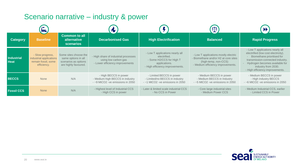#### Scenario narrative – industry & power

| ka,                              |                                                                                   |                                                                                              | N.                                                                                              |                                                                                                                                 | $\Delta$                                                                                                                                  |                                                                                                                                                                                                                                      |  |
|----------------------------------|-----------------------------------------------------------------------------------|----------------------------------------------------------------------------------------------|-------------------------------------------------------------------------------------------------|---------------------------------------------------------------------------------------------------------------------------------|-------------------------------------------------------------------------------------------------------------------------------------------|--------------------------------------------------------------------------------------------------------------------------------------------------------------------------------------------------------------------------------------|--|
| <b>Category</b>                  | <b>Baseline</b>                                                                   | <b>Common to all</b><br>alternative<br><b>scenarios</b>                                      | <b>Decarbonised Gas</b>                                                                         | <b>High Electrification</b>                                                                                                     | <b>Balanced</b>                                                                                                                           | <b>Rapid Progress</b>                                                                                                                                                                                                                |  |
| <b>Industrial</b><br><b>Heat</b> | - Slow progress,<br>industrial applications<br>remain fossil, some<br>efficiency. | Some sites choose the<br>same options in all<br>scenarios as options<br>are highly favoured. | - High share of industrial processes<br>using low carbon gas<br>- Lower efficiency improvements | - Low T applications nearly all<br>electrified.<br>- Some H2/CCS for High T<br>applications.<br>- High efficiency improvements. | - Low T applications mostly electric<br>- Biomethane and/or H2 at core sites<br>(high-temp, non-CCS)<br>- Medium efficiency improvements. | - Low T applications nearly all<br>electrified (low cost electricity).<br>Biomethane prioritised for<br>transmission-connected industry.<br>Hydrogen becomes available for<br>industry from 2030.<br>- High efficiency improvements. |  |
| <b>BECCS</b>                     | <b>None</b>                                                                       | N/A                                                                                          | - High BECCS in power<br>- Medium-high BECCS in industry<br>$-$ ~9 MtCO2 -ve emissions in 2050  | - Limited BECCS in power<br>- Limited/no BECCS in industry<br>$ -1$ MtCO2 -ve emissions in 2050                                 | - Medium BECCS in power<br>- Medium BECCS in Industry<br>$-$ ~5 MtCO2 -ve emissions in 2050                                               | - Medium BECCS in power<br>- High industry BECCS<br>$-$ ~6 MtCO2 -ve emissions in 2050                                                                                                                                               |  |
| <b>Fossil CCS</b>                | <b>None</b>                                                                       | N/A                                                                                          | - Highest level of Industrial CCS<br>- High CCS in power                                        | - Later & limited scale industrial CCS<br>- No CCS in Power                                                                     | - Core large industrial sites<br>- Medium Power CCS                                                                                       | - Medium Industrial CCS, earlier<br>- Limited CCS in Power                                                                                                                                                                           |  |

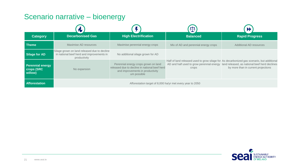#### Scenario narrative – bioenergy